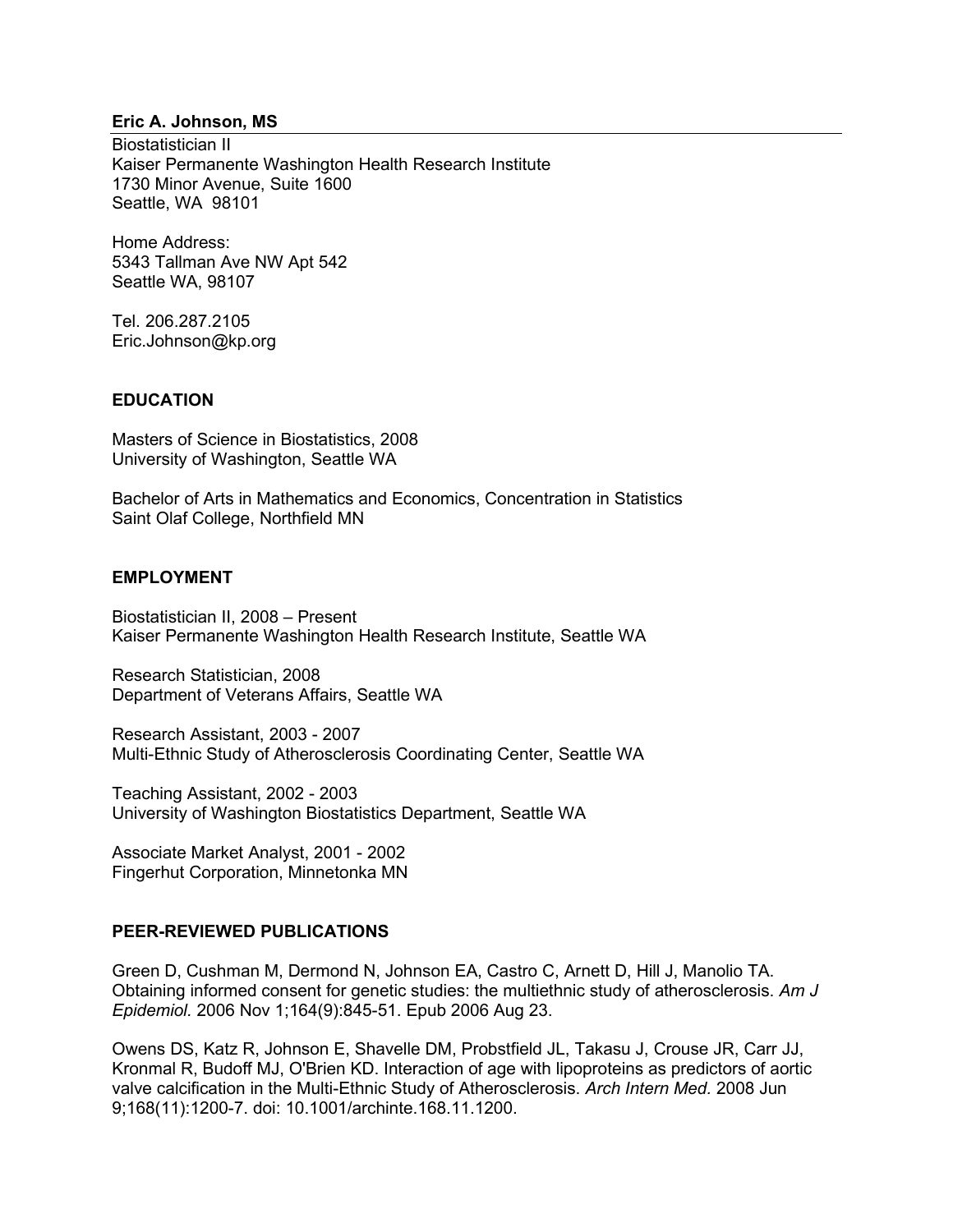## **Eric A. Johnson, MS**

Biostatistician II Kaiser Permanente Washington Health Research Institute 1730 Minor Avenue, Suite 1600 Seattle, WA 98101

Home Address: 5343 Tallman Ave NW Apt 542 Seattle WA, 98107

Tel. 206.287.2105 Eric.Johnson@kp.org

### **EDUCATION**

Masters of Science in Biostatistics, 2008 University of Washington, Seattle WA

Bachelor of Arts in Mathematics and Economics, Concentration in Statistics Saint Olaf College, Northfield MN

## **EMPLOYMENT**

Biostatistician II, 2008 – Present Kaiser Permanente Washington Health Research Institute, Seattle WA

Research Statistician, 2008 Department of Veterans Affairs, Seattle WA

Research Assistant, 2003 - 2007 Multi-Ethnic Study of Atherosclerosis Coordinating Center, Seattle WA

Teaching Assistant, 2002 - 2003 University of Washington Biostatistics Department, Seattle WA

Associate Market Analyst, 2001 - 2002 Fingerhut Corporation, Minnetonka MN

### **PEER-REVIEWED PUBLICATIONS**

Green D, Cushman M, Dermond N, Johnson EA, Castro C, Arnett D, Hill J, Manolio TA. Obtaining informed consent for genetic studies: the multiethnic study of atherosclerosis. *Am J Epidemiol.* 2006 Nov 1;164(9):845-51. Epub 2006 Aug 23.

Owens DS, Katz R, Johnson E, Shavelle DM, Probstfield JL, Takasu J, Crouse JR, Carr JJ, Kronmal R, Budoff MJ, O'Brien KD. Interaction of age with lipoproteins as predictors of aortic valve calcification in the Multi-Ethnic Study of Atherosclerosis. *Arch Intern Med.* 2008 Jun 9;168(11):1200-7. doi: 10.1001/archinte.168.11.1200.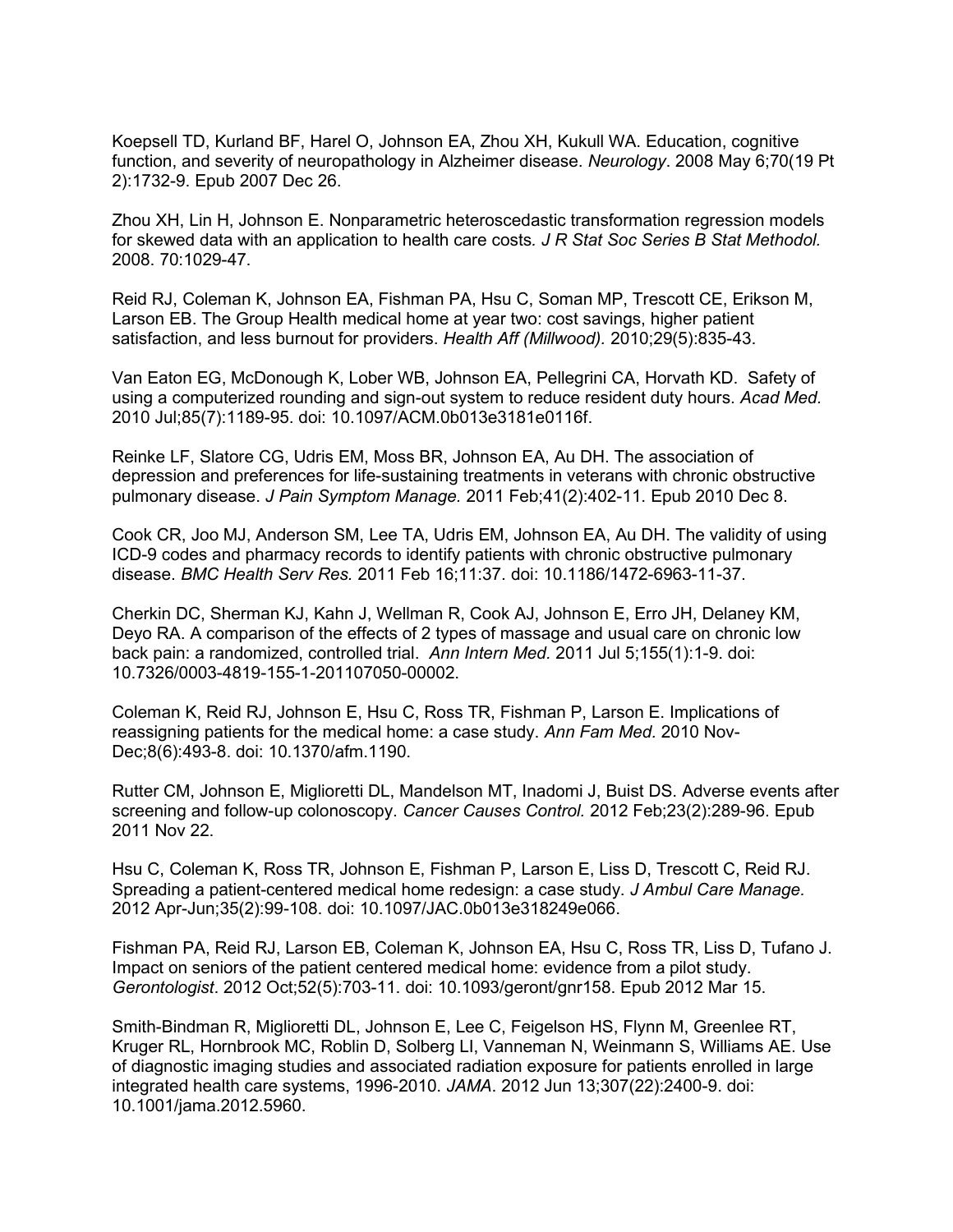Koepsell TD, Kurland BF, Harel O, Johnson EA, Zhou XH, Kukull WA. Education, cognitive function, and severity of neuropathology in Alzheimer disease. *Neurology*. 2008 May 6;70(19 Pt 2):1732-9. Epub 2007 Dec 26.

Zhou XH, Lin H, Johnson E. Nonparametric heteroscedastic transformation regression models for skewed data with an application to health care costs*. J R Stat Soc Series B Stat Methodol.* 2008. 70:1029-47.

Reid RJ, Coleman K, Johnson EA, Fishman PA, Hsu C, Soman MP, Trescott CE, Erikson M, Larson EB. The Group Health medical home at year two: cost savings, higher patient satisfaction, and less burnout for providers. *Health Aff (Millwood).* 2010;29(5):835-43.

Van Eaton EG, McDonough K, Lober WB, Johnson EA, Pellegrini CA, Horvath KD. Safety of using a computerized rounding and sign-out system to reduce resident duty hours. *Acad Med.* 2010 Jul;85(7):1189-95. doi: 10.1097/ACM.0b013e3181e0116f.

Reinke LF, Slatore CG, Udris EM, Moss BR, Johnson EA, Au DH. The association of depression and preferences for life-sustaining treatments in veterans with chronic obstructive pulmonary disease. *J Pain Symptom Manage.* 2011 Feb;41(2):402-11. Epub 2010 Dec 8.

Cook CR, Joo MJ, Anderson SM, Lee TA, Udris EM, Johnson EA, Au DH. The validity of using ICD-9 codes and pharmacy records to identify patients with chronic obstructive pulmonary disease. *BMC Health Serv Res.* 2011 Feb 16;11:37. doi: 10.1186/1472-6963-11-37.

Cherkin DC, Sherman KJ, Kahn J, Wellman R, Cook AJ, Johnson E, Erro JH, Delaney KM, Deyo RA. A comparison of the effects of 2 types of massage and usual care on chronic low back pain: a randomized, controlled trial. *Ann Intern Med.* 2011 Jul 5;155(1):1-9. doi: 10.7326/0003-4819-155-1-201107050-00002.

Coleman K, Reid RJ, Johnson E, Hsu C, Ross TR, Fishman P, Larson E. Implications of reassigning patients for the medical home: a case study. *Ann Fam Med.* 2010 Nov-Dec;8(6):493-8. doi: 10.1370/afm.1190.

Rutter CM, Johnson E, Miglioretti DL, Mandelson MT, Inadomi J, Buist DS. Adverse events after screening and follow-up colonoscopy. *Cancer Causes Control.* 2012 Feb;23(2):289-96. Epub 2011 Nov 22.

Hsu C, Coleman K, Ross TR, Johnson E, Fishman P, Larson E, Liss D, Trescott C, Reid RJ. Spreading a patient-centered medical home redesign: a case study. *J Ambul Care Manage.* 2012 Apr-Jun;35(2):99-108. doi: 10.1097/JAC.0b013e318249e066.

Fishman PA, Reid RJ, Larson EB, Coleman K, Johnson EA, Hsu C, Ross TR, Liss D, Tufano J. Impact on seniors of the patient centered medical home: evidence from a pilot study. *Gerontologist*. 2012 Oct;52(5):703-11. doi: 10.1093/geront/gnr158. Epub 2012 Mar 15.

Smith-Bindman R, Miglioretti DL, Johnson E, Lee C, Feigelson HS, Flynn M, Greenlee RT, Kruger RL, Hornbrook MC, Roblin D, Solberg LI, Vanneman N, Weinmann S, Williams AE. Use of diagnostic imaging studies and associated radiation exposure for patients enrolled in large integrated health care systems, 1996-2010. *JAMA*. 2012 Jun 13;307(22):2400-9. doi: 10.1001/jama.2012.5960.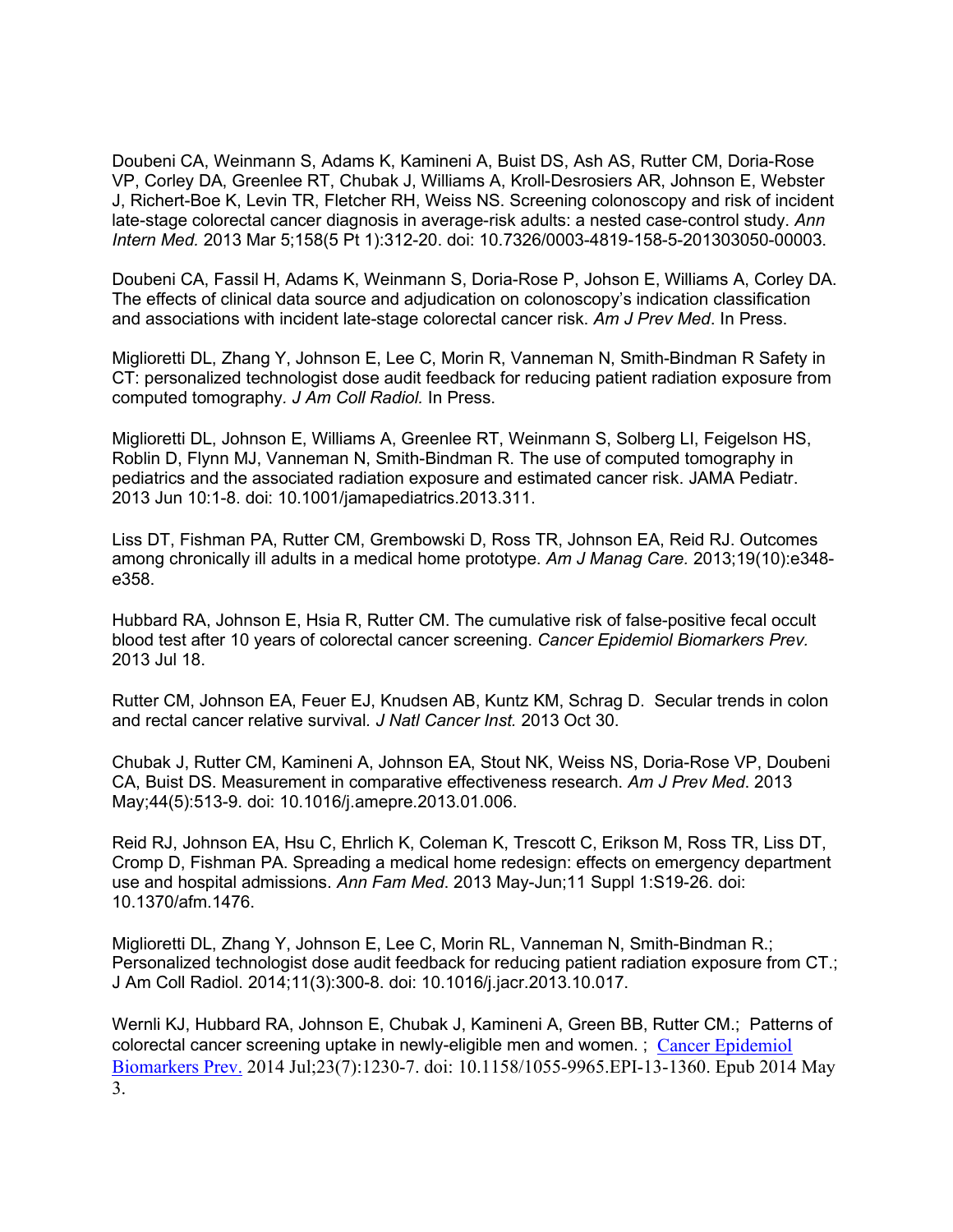Doubeni CA, Weinmann S, Adams K, Kamineni A, Buist DS, Ash AS, Rutter CM, Doria-Rose VP, Corley DA, Greenlee RT, Chubak J, Williams A, Kroll-Desrosiers AR, Johnson E, Webster J, Richert-Boe K, Levin TR, Fletcher RH, Weiss NS. Screening colonoscopy and risk of incident late-stage colorectal cancer diagnosis in average-risk adults: a nested case-control study. *Ann Intern Med.* 2013 Mar 5;158(5 Pt 1):312-20. doi: 10.7326/0003-4819-158-5-201303050-00003.

Doubeni CA, Fassil H, Adams K, Weinmann S, Doria-Rose P, Johson E, Williams A, Corley DA. The effects of clinical data source and adjudication on colonoscopy's indication classification and associations with incident late-stage colorectal cancer risk. *Am J Prev Med*. In Press.

Miglioretti DL, Zhang Y, Johnson E, Lee C, Morin R, Vanneman N, Smith-Bindman R Safety in CT: personalized technologist dose audit feedback for reducing patient radiation exposure from computed tomography*. J Am Coll Radiol.* In Press.

Miglioretti DL, Johnson E, Williams A, Greenlee RT, Weinmann S, Solberg LI, Feigelson HS, Roblin D, Flynn MJ, Vanneman N, Smith-Bindman R. The use of computed tomography in pediatrics and the associated radiation exposure and estimated cancer risk. JAMA Pediatr. 2013 Jun 10:1-8. doi: 10.1001/jamapediatrics.2013.311.

Liss DT, Fishman PA, Rutter CM, Grembowski D, Ross TR, Johnson EA, Reid RJ. Outcomes among chronically ill adults in a medical home prototype. *Am J Manag Care.* 2013;19(10):e348 e358.

Hubbard RA, Johnson E, Hsia R, Rutter CM. The cumulative risk of false-positive fecal occult blood test after 10 years of colorectal cancer screening. *Cancer Epidemiol Biomarkers Prev.* 2013 Jul 18.

Rutter CM, Johnson EA, Feuer EJ, Knudsen AB, Kuntz KM, Schrag D. Secular trends in colon and rectal cancer relative survival*. J Natl Cancer Inst.* 2013 Oct 30.

Chubak J, Rutter CM, Kamineni A, Johnson EA, Stout NK, Weiss NS, Doria-Rose VP, Doubeni CA, Buist DS. Measurement in comparative effectiveness research. *Am J Prev Med*. 2013 May;44(5):513-9. doi: 10.1016/j.amepre.2013.01.006.

Reid RJ, Johnson EA, Hsu C, Ehrlich K, Coleman K, Trescott C, Erikson M, Ross TR, Liss DT, Cromp D, Fishman PA. Spreading a medical home redesign: effects on emergency department use and hospital admissions. *Ann Fam Med*. 2013 May-Jun;11 Suppl 1:S19-26. doi: 10.1370/afm.1476.

Miglioretti DL, Zhang Y, Johnson E, Lee C, Morin RL, Vanneman N, Smith-Bindman R.; Personalized technologist dose audit feedback for reducing patient radiation exposure from CT.; J Am Coll Radiol. 2014;11(3):300-8. doi: 10.1016/j.jacr.2013.10.017.

Wernli KJ, Hubbard RA, Johnson E, Chubak J, Kamineni A, Green BB, Rutter CM.; Patterns of colorectal cancer screening uptake in newly-eligible men and women. ; [Cancer Epidemiol](http://www.ncbi.nlm.nih.gov/pubmed/24793956)  [Biomarkers Prev.](http://www.ncbi.nlm.nih.gov/pubmed/24793956) 2014 Jul;23(7):1230-7. doi: 10.1158/1055-9965.EPI-13-1360. Epub 2014 May 3.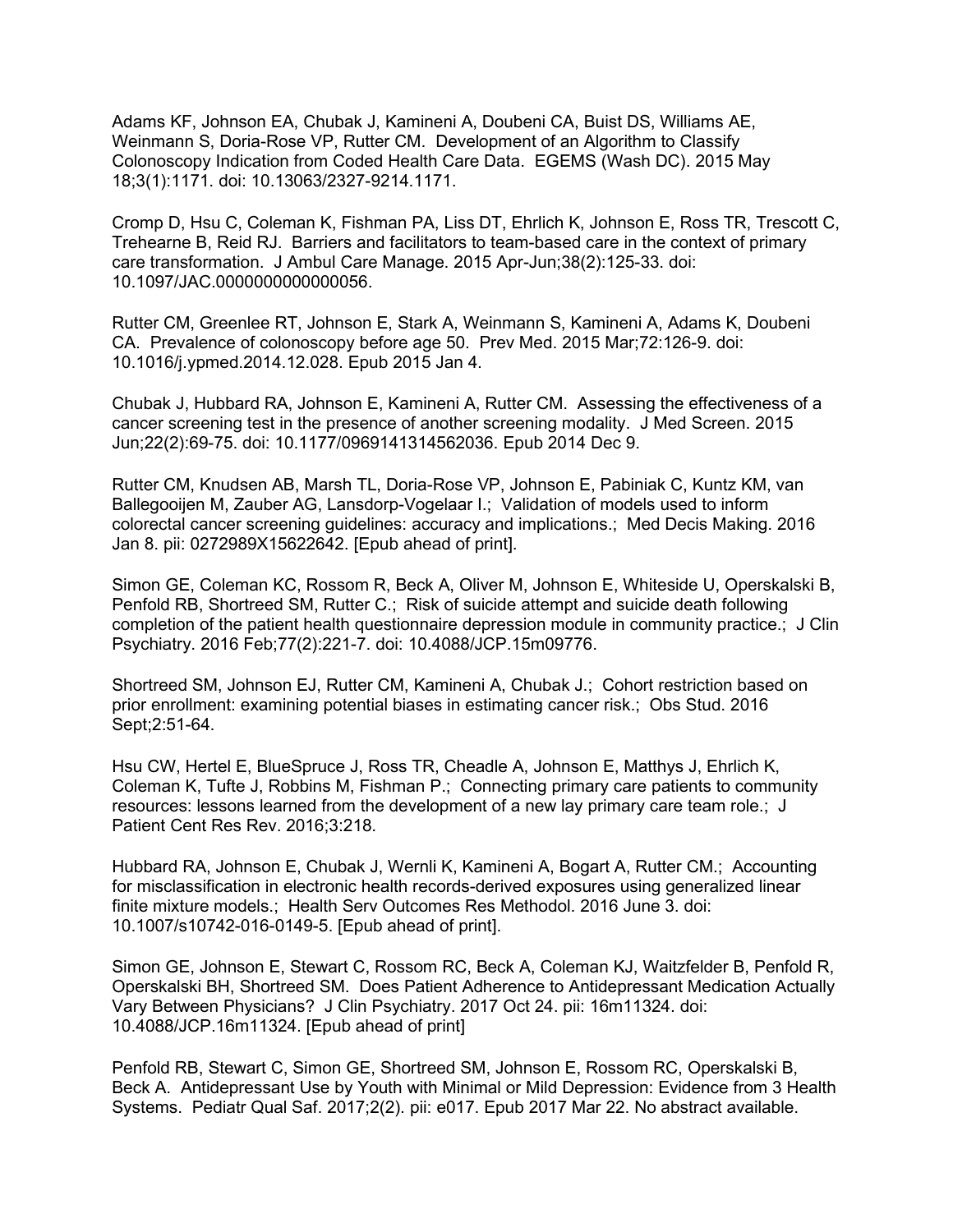Adams KF, Johnson EA, Chubak J, Kamineni A, Doubeni CA, Buist DS, Williams AE, Weinmann S, Doria-Rose VP, Rutter CM. Development of an Algorithm to Classify Colonoscopy Indication from Coded Health Care Data. EGEMS (Wash DC). 2015 May 18;3(1):1171. doi: 10.13063/2327-9214.1171.

Cromp D, Hsu C, Coleman K, Fishman PA, Liss DT, Ehrlich K, Johnson E, Ross TR, Trescott C, Trehearne B, Reid RJ. Barriers and facilitators to team-based care in the context of primary care transformation. J Ambul Care Manage. 2015 Apr-Jun;38(2):125-33. doi: 10.1097/JAC.0000000000000056.

Rutter CM, Greenlee RT, Johnson E, Stark A, Weinmann S, Kamineni A, Adams K, Doubeni CA. Prevalence of colonoscopy before age 50. Prev Med. 2015 Mar;72:126-9. doi: 10.1016/j.ypmed.2014.12.028. Epub 2015 Jan 4.

Chubak J, Hubbard RA, Johnson E, Kamineni A, Rutter CM. Assessing the effectiveness of a cancer screening test in the presence of another screening modality. J Med Screen. 2015 Jun;22(2):69-75. doi: 10.1177/0969141314562036. Epub 2014 Dec 9.

Rutter CM, Knudsen AB, Marsh TL, Doria-Rose VP, Johnson E, Pabiniak C, Kuntz KM, van Ballegooijen M, Zauber AG, Lansdorp-Vogelaar I.; Validation of models used to inform colorectal cancer screening guidelines: accuracy and implications.; Med Decis Making. 2016 Jan 8. pii: 0272989X15622642. [Epub ahead of print].

Simon GE, Coleman KC, Rossom R, Beck A, Oliver M, Johnson E, Whiteside U, Operskalski B, Penfold RB, Shortreed SM, Rutter C.; Risk of suicide attempt and suicide death following completion of the patient health questionnaire depression module in community practice.; J Clin Psychiatry. 2016 Feb;77(2):221-7. doi: 10.4088/JCP.15m09776.

Shortreed SM, Johnson EJ, Rutter CM, Kamineni A, Chubak J.; Cohort restriction based on prior enrollment: examining potential biases in estimating cancer risk.; Obs Stud. 2016 Sept;2:51-64.

Hsu CW, Hertel E, BlueSpruce J, Ross TR, Cheadle A, Johnson E, Matthys J, Ehrlich K, Coleman K, Tufte J, Robbins M, Fishman P.; Connecting primary care patients to community resources: lessons learned from the development of a new lay primary care team role.; J Patient Cent Res Rev. 2016;3:218.

Hubbard RA, Johnson E, Chubak J, Wernli K, Kamineni A, Bogart A, Rutter CM.; Accounting for misclassification in electronic health records-derived exposures using generalized linear finite mixture models.; Health Serv Outcomes Res Methodol. 2016 June 3. doi: 10.1007/s10742-016-0149-5. [Epub ahead of print].

Simon GE, Johnson E, Stewart C, Rossom RC, Beck A, Coleman KJ, Waitzfelder B, Penfold R, Operskalski BH, Shortreed SM. Does Patient Adherence to Antidepressant Medication Actually Vary Between Physicians? J Clin Psychiatry. 2017 Oct 24. pii: 16m11324. doi: 10.4088/JCP.16m11324. [Epub ahead of print]

Penfold RB, Stewart C, Simon GE, Shortreed SM, Johnson E, Rossom RC, Operskalski B, Beck A. Antidepressant Use by Youth with Minimal or Mild Depression: Evidence from 3 Health Systems. Pediatr Qual Saf. 2017;2(2). pii: e017. Epub 2017 Mar 22. No abstract available.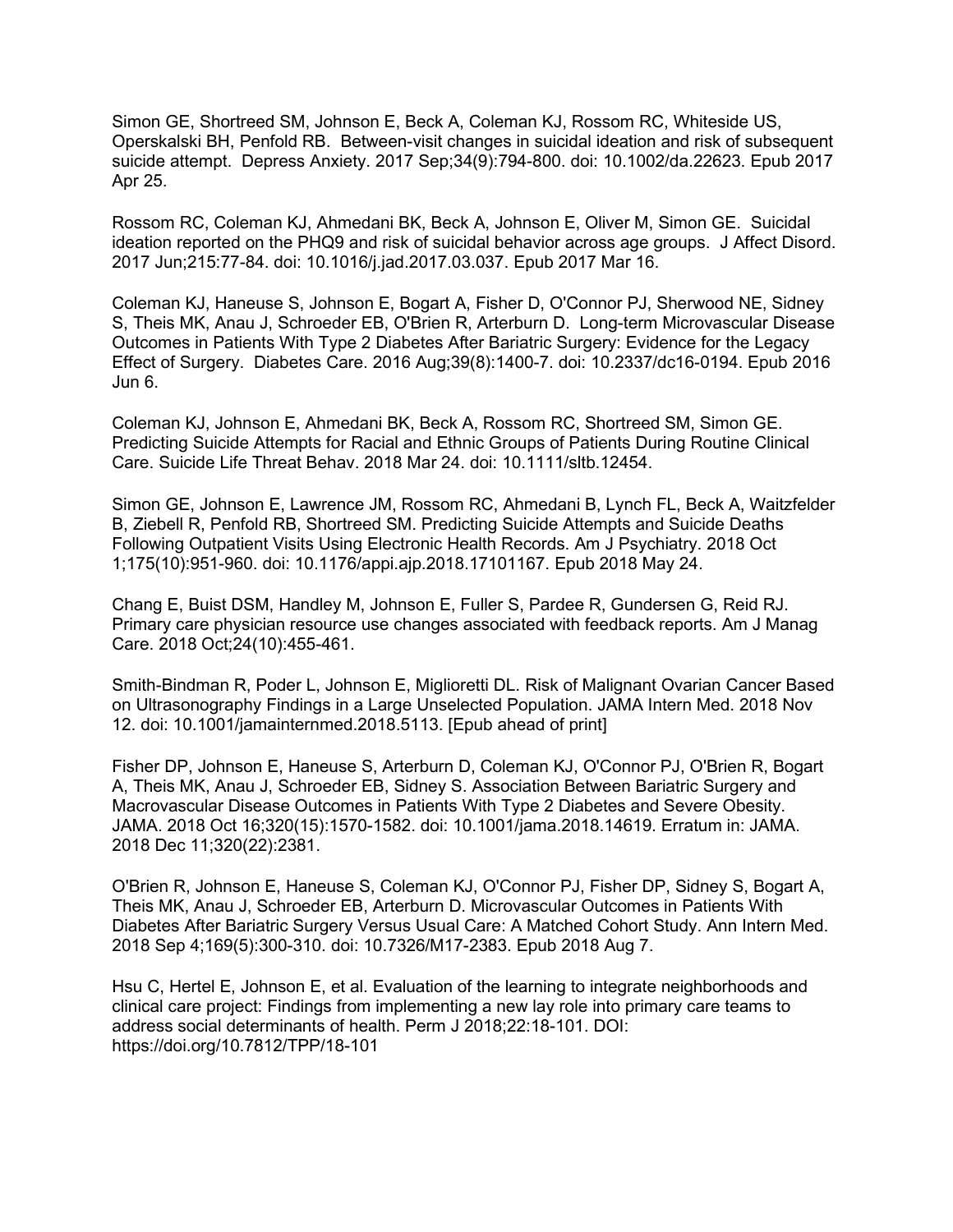Simon GE, Shortreed SM, Johnson E, Beck A, Coleman KJ, Rossom RC, Whiteside US, Operskalski BH, Penfold RB. Between-visit changes in suicidal ideation and risk of subsequent suicide attempt. Depress Anxiety. 2017 Sep;34(9):794-800. doi: 10.1002/da.22623. Epub 2017 Apr 25.

Rossom RC, Coleman KJ, Ahmedani BK, Beck A, Johnson E, Oliver M, Simon GE. Suicidal ideation reported on the PHQ9 and risk of suicidal behavior across age groups. J Affect Disord. 2017 Jun;215:77-84. doi: 10.1016/j.jad.2017.03.037. Epub 2017 Mar 16.

Coleman KJ, Haneuse S, Johnson E, Bogart A, Fisher D, O'Connor PJ, Sherwood NE, Sidney S, Theis MK, Anau J, Schroeder EB, O'Brien R, Arterburn D. Long-term Microvascular Disease Outcomes in Patients With Type 2 Diabetes After Bariatric Surgery: Evidence for the Legacy Effect of Surgery. Diabetes Care. 2016 Aug;39(8):1400-7. doi: 10.2337/dc16-0194. Epub 2016 Jun 6.

Coleman KJ, Johnson E, Ahmedani BK, Beck A, Rossom RC, Shortreed SM, Simon GE. Predicting Suicide Attempts for Racial and Ethnic Groups of Patients During Routine Clinical Care. Suicide Life Threat Behav. 2018 Mar 24. doi: 10.1111/sltb.12454.

Simon GE, Johnson E, Lawrence JM, Rossom RC, Ahmedani B, Lynch FL, Beck A, Waitzfelder B, Ziebell R, Penfold RB, Shortreed SM. Predicting Suicide Attempts and Suicide Deaths Following Outpatient Visits Using Electronic Health Records. Am J Psychiatry. 2018 Oct 1;175(10):951-960. doi: 10.1176/appi.ajp.2018.17101167. Epub 2018 May 24.

Chang E, Buist DSM, Handley M, Johnson E, Fuller S, Pardee R, Gundersen G, Reid RJ. Primary care physician resource use changes associated with feedback reports. Am J Manag Care. 2018 Oct;24(10):455-461.

Smith-Bindman R, Poder L, Johnson E, Miglioretti DL. Risk of Malignant Ovarian Cancer Based on Ultrasonography Findings in a Large Unselected Population. JAMA Intern Med. 2018 Nov 12. doi: 10.1001/jamainternmed.2018.5113. [Epub ahead of print]

Fisher DP, Johnson E, Haneuse S, Arterburn D, Coleman KJ, O'Connor PJ, O'Brien R, Bogart A, Theis MK, Anau J, Schroeder EB, Sidney S. Association Between Bariatric Surgery and Macrovascular Disease Outcomes in Patients With Type 2 Diabetes and Severe Obesity. JAMA. 2018 Oct 16;320(15):1570-1582. doi: 10.1001/jama.2018.14619. Erratum in: JAMA. 2018 Dec 11;320(22):2381.

O'Brien R, Johnson E, Haneuse S, Coleman KJ, O'Connor PJ, Fisher DP, Sidney S, Bogart A, Theis MK, Anau J, Schroeder EB, Arterburn D. Microvascular Outcomes in Patients With Diabetes After Bariatric Surgery Versus Usual Care: A Matched Cohort Study. Ann Intern Med. 2018 Sep 4;169(5):300-310. doi: 10.7326/M17-2383. Epub 2018 Aug 7.

Hsu C, Hertel E, Johnson E, et al. Evaluation of the learning to integrate neighborhoods and clinical care project: Findings from implementing a new lay role into primary care teams to address social determinants of health. Perm J 2018;22:18-101. DOI: https://doi.org/10.7812/TPP/18-101